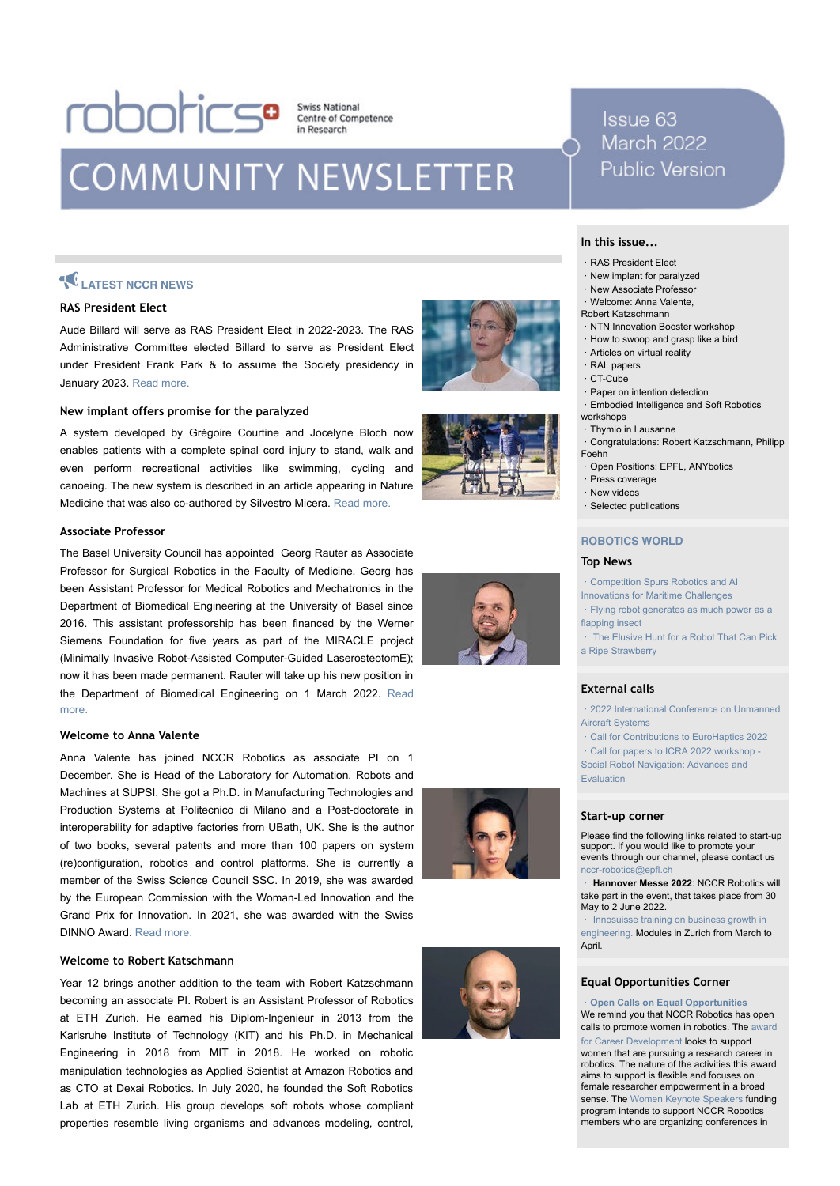# **FOODICS** Swiss National

## **COMMUNITY NEWSLETTER**

## **COLATEST NCCR NEWS**

#### **RAS President Elect**

Aude Billard will serve as RAS President Elect in 2022-2023. The RAS Administrative Committee elected Billard to serve as President Elect under President Frank Park & to assume the Society presidency in January 2023. [Read more.](https://www.ieee-ras.org/about-ras/latest-news/1888-2022-2023-ras-president-elect-announced)

#### **New implant offers promise for the paralyzed**

A system developed by Grégoire Courtine and Jocelyne Bloch now enables patients with a complete spinal cord injury to stand, walk and even perform recreational activities like swimming, cycling and canoeing. The new system is described in an article appearing in Nature Medicine that was also co-authored by Silvestro Micera. [Read more.](https://nccr-robotics.ch/new-implant-offers-promise-for-the-paralyzed/)

#### **Associate Professor**

The Basel University Council has appointed Georg Rauter as Associate Professor for Surgical Robotics in the Faculty of Medicine. Georg has been Assistant Professor for Medical Robotics and Mechatronics in the Department of Biomedical Engineering at the University of Basel since 2016. This assistant professorship has been financed by the Werner Siemens Foundation for five years as part of the MIRACLE project (Minimally Invasive Robot-Assisted Computer-Guided LaserosteotomE); now it has been made permanent. Rauter will take up his new position in [the Department of Biomedical Engineering on 1 March 2022.](https://www.unibas.ch/en/News-Events/News/Uni-Info/Georg-Rauter-appointed-Associate-Professor-for-Surgical-Robotics.html) Read more.

#### **Welcome to Anna Valente**

Anna Valente has joined NCCR Robotics as associate PI on 1 December. She is Head of the Laboratory for Automation, Robots and Machines at SUPSI. She got a Ph.D. in Manufacturing Technologies and Production Systems at Politecnico di Milano and a Post-doctorate in interoperability for adaptive factories from UBath, UK. She is the author of two books, several patents and more than 100 papers on system (re)configuration, robotics and control platforms. She is currently a member of the Swiss Science Council SSC. In 2019, she was awarded by the European Commission with the Woman-Led Innovation and the Grand Prix for Innovation. In 2021, she was awarded with the Swiss DINNO Award. [Read more.](https://www.supsi.ch/isteps_en/Laboratories/gruppo1.html)

#### **Welcome to Robert Katschmann**

Year 12 brings another addition to the team with Robert Katzschmann becoming an associate PI. Robert is an Assistant Professor of Robotics at ETH Zurich. He earned his Diplom-Ingenieur in 2013 from the Karlsruhe Institute of Technology (KIT) and his Ph.D. in Mechanical Engineering in 2018 from MIT in 2018. He worked on robotic manipulation technologies as Applied Scientist at Amazon Robotics and as CTO at Dexai Robotics. In July 2020, he founded the Soft Robotics Lab at ETH Zurich. His group develops soft robots whose compliant properties resemble living organisms and advances modeling, control,





## Issue 63 March 2022 **Public Version**

#### In this issue...

- RAS President Elect ・
- New implant for paralyzed ・
- New Associate Professor ・
- Welcome: Anna Valente,
- Robert Katzschmann ・
- NTN Innovation Booster workshop ・
- How to swoop and grasp like a bird
- Articles on virtual reality ・
- $·$  RAL papers
- CT-Cube ・
	- · Paper on intention detection
	- Embodied Intelligence and Soft Robotics
- workshops Thymio in Lausanne ・
- 
- Congratulations: Robert Katzschmann, Philipp **Foehn**
- Open Positions: EPFL, ANYbotics ・
- · Press coverage
- New videos ・
- Selected publications
- 

#### **ROBOTICS WORLD**

#### **Top News**

- Competition Spurs Robotics and AI
- [Innovations for Maritime Challenges](https://spectrum.ieee.org/mbzirc-maritime-grand-challenge)
- [Flying robot generates as much power as a](https://www.newscientist.com/article/2307069-flying-robot-generates-as-much-power-as-a-flapping-insect/) flapping insect
- [The Elusive Hunt for a Robot That Can Pick](https://www.wired.com/story/elusive-hunt-robot-pick-ripe-strawberry/) a Ripe Strawberry

#### **External calls**

[2022 International Conference on Unmanned](http://www.uasconferences.com/2022_icuas/) **Aircraft Systems** 

[Call for Contributions to EuroHaptics 2022](http://www.eurohaptics2022.org/) [・](http://ro-man2022.org/)[Call for papers to ICRA 2022 workshop -](https://seannavbench2022.netlify.app/) Social Robot Navigation: Advances and Evaluation

#### **Start-up corner**

Please find the following links related to start-up support. If you would like to promote your events through our channel, please contact us [nccr-robotics@epfl.ch](mailto:nccr-robotics@epfl.ch)

 **Hannover Messe 2022**: NCCR Robotics will take part in the event, that takes place from 30 May to 2 June 2022.

 $\cdot$  [Innosuisse training on business growth in](https://innosuisse.venturelab.ch/index.cfm?page=135529&event_id=8820&ct=t%28Venturelab+newsletter+20220216%29&mc_cid=3ac7dc688a&mc_eid=1d90976980) engineering. Modules in Zurich from March to April.

#### **Equal Opportunities Corner**

**[Open Calls on Equal Opportunities](https://nccr-robotics.ch/equal-opportunities/)** We remind you that NCCR Robotics has open [calls to promote women in robotics. The](https://nccr-robotics.ch/awards-programs/career-development-award/) award for Career Development looks to support women that are pursuing a research career in robotics. The nature of the activities this award aims to support is flexible and focuses on female researcher empowerment in a broad sense. The [Women Keynote Speakers](https://nccr-robotics.ch/awards-programs/women-keynote-speakers/) funding program intends to support NCCR Robotics members who are organizing conferences in





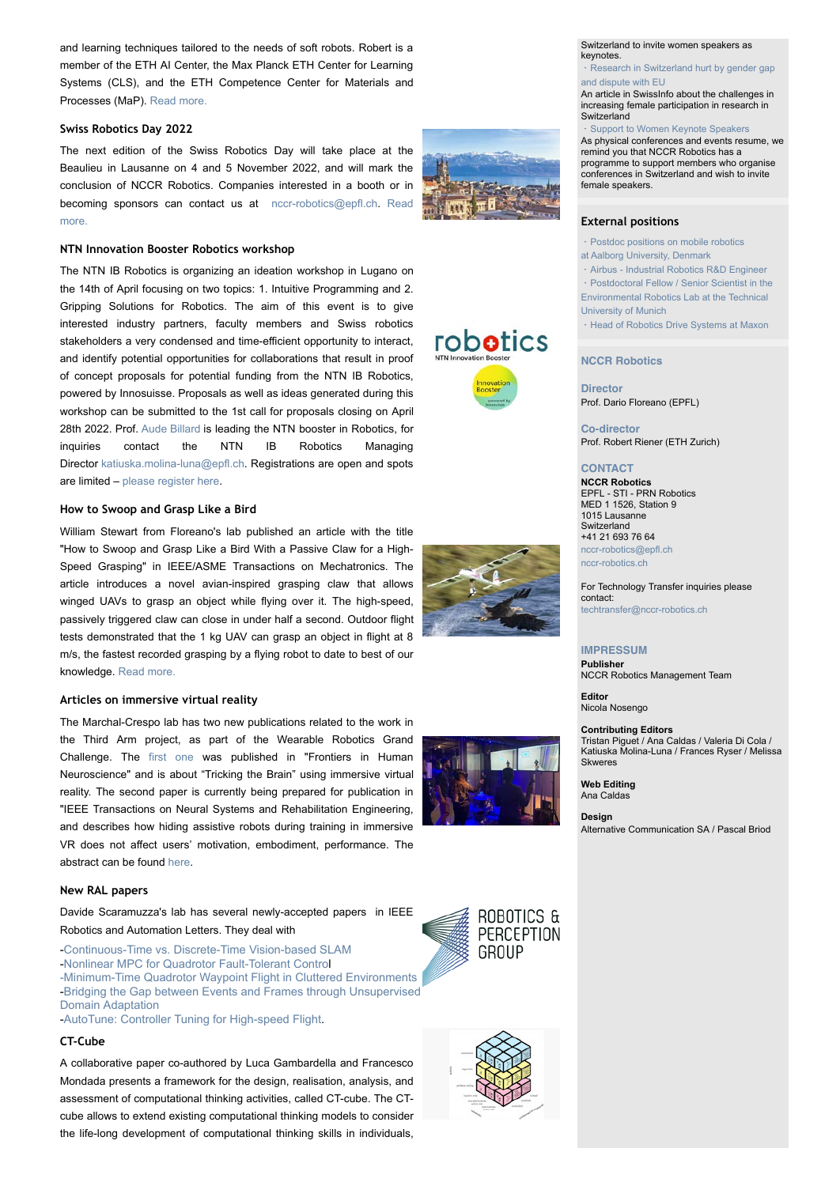and learning techniques tailored to the needs of soft robots. Robert is a member of the ETH AI Center, the Max Planck ETH Center for Learning Systems (CLS), and the ETH Competence Center for Materials and Processes (MaP). [Read more.](https://ethz.ch/en/the-eth-zurich/organisation/who-is-who/mavt/details.MjYyNzY1.TGlzdC8xOTEyLDEwNjE0ODE1NjU=.html)

#### **Swiss Robotics Day 2022**

The next edition of the Swiss Robotics Day will take place at the Beaulieu in Lausanne on 4 and 5 November 2022, and will mark the conclusion of NCCR Robotics. Companies interested in a booth or in [becoming sponsors can contact us at](https://swissroboticsday.ch/) [nccr-robotics@epfl.ch](mailto:nccr-robotics@epfl.ch). Read more.

#### **NTN Innovation Booster Robotics workshop**

The NTN IB Robotics is organizing an ideation workshop in Lugano on the 14th of April focusing on two topics: 1. Intuitive Programming and 2. Gripping Solutions for Robotics. The aim of this event is to give interested industry partners, faculty members and Swiss robotics stakeholders a very condensed and time-efficient opportunity to interact, and identify potential opportunities for collaborations that result in proof of concept proposals for potential funding from the NTN IB Robotics, powered by Innosuisse. Proposals as well as ideas generated during this workshop can be submitted to the 1st call for proposals closing on April 28th 2022. Prof. [Aude Billard](https://people.epfl.ch/aude.billard) is leading the NTN booster in Robotics, for inquiries contact the NTN IB Robotics Managing Director [katiuska.molina-luna@epfl.ch](mailto:katiuska.molina-luna@epfl.ch). Registrations are open and spots are limited – [please register here](https://docs.google.com/forms/d/e/1FAIpQLSde8krTuc1wbYRxtRbwh_ePiwB_38_iuVZsdjYJUWPiTc4JEg/viewform).

#### **How to Swoop and Grasp Like a Bird**

William Stewart from Floreano's lab published an article with the title "How to Swoop and Grasp Like a Bird With a Passive Claw for a High-Speed Grasping" in IEEE/ASME Transactions on Mechatronics. The article introduces a novel avian-inspired grasping claw that allows winged UAVs to grasp an object while flying over it. The high-speed, passively triggered claw can close in under half a second. Outdoor flight tests demonstrated that the 1 kg UAV can grasp an object in flight at 8 m/s, the fastest recorded grasping by a flying robot to date to best of our knowledge. [Read more.](https://ieeexplore.ieee.org/document/9697910)

#### **Articles on immersive virtual reality**

The Marchal-Crespo lab has two new publications related to the work in the Third Arm project, as part of the Wearable Robotics Grand Challenge. The [first one](https://www.frontiersin.org/articles/10.3389/fnhum.2021.787487/full) was published in "Frontiers in Human Neuroscience" and is about "Tricking the Brain" using immersive virtual reality. The second paper is currently being prepared for publication in "IEEE Transactions on Neural Systems and Rehabilitation Engineering, and describes how hiding assistive robots during training in immersive VR does not affect users' motivation, embodiment, performance. The abstract can be found [here.](https://ieeexplore.ieee.org/document/9695469)

#### **New RAL papers**

Davide Scaramuzza's lab has several newly-accepted papers in IEEE Robotics and Automation Letters. They deal with

[-Continuous-Time vs. Discrete-Time Vision-based SLAM](https://rpg.ifi.uzh.ch/docs/RAL2021_Cioffi.pdf) [-Nonlinear MPC for Quadrotor Fault-Tolerant Control](https://rpg.ifi.uzh.ch/docs/ICRA22_Nan.pdf) [-Minimum-Time Quadrotor Waypoint Flight in Cluttered Environments](https://rpg.ifi.uzh.ch/docs/RAL22_Penicka.pdf) [-Bridging the Gap between Events and Frames through Unsupervised](https://rpg.ifi.uzh.ch/docs/RAL22_Messikommer.pdf) Domain Adaptation [-AutoTune: Controller Tuning for High-speed Flight.](https://rpg.ifi.uzh.ch/docs/RAL21_Saviolo_Loquercio_AutoTune.pdf)

#### **CT-Cube**

A collaborative paper co-authored by Luca Gambardella and Francesco Mondada presents a framework for the design, realisation, analysis, and assessment of computational thinking activities, called CT-cube. The CTcube allows to extend existing computational thinking models to consider the life-long development of computational thinking skills in individuals,



[Research in Switzerland hurt by gender gap](https://www.swissinfo.ch/eng/research-in-switzerland-hurt-by-gender-gap-and-dispute-with-eu/47349810) and dispute with EU

An article in SwissInfo about the challenges in increasing female participation in research in **Switzerland** 

#### [S](https://www.wired.com/story/ex-googler-timnit-gebru-starts-ai-research-center/)[upport to Women Keynote Speakers](https://nccr-robotics.ch/awards-programs/women-keynote-speakers/)

As physical conferences and events resume, we remind you that NCCR Robotics has a programme to support members who organise conferences in Switzerland and wish to invite female speakers.

#### **External positions** ・

[Postdoc positions on mobile robotics](https://www.vacancies.aau.dk/show-vacancy/?vacancy=1184467)

at Aalborg University, Denmark

11 Theory Theorem, Temmann<br>
• [Airbus - Industrial Robotics R&D Engineer](https://ag.wd3.myworkdayjobs.com/en-US/Airbus/job/Toulouse-Area/Industrial-Robotics-R-D-Engineer-m-f_JR10104089) [P](https://www.cs.rutgers.edu/about/employment/details/test)ostdoctoral Fellow / Senior Scientist in the

[Environmental Robotics Lab at the Technical](https://portal.mytum.de/jobs/wissenschaftler/NewsArticle_20220216_150836) University of Munich ・

[Head of Robotics Drive Systems at Maxon](https://www.mncjobs.ch/jobs/head-of-robotic-drive-systems-sachseln-845384)

#### **NCCR Robotics**

**Director**

Prof. Dario Floreano (EPFL)

**Co-director** Prof. Robert Riener (ETH Zurich)

#### **CONTACT**

**NCCR Robotics** EPFL - STI - PRN Robotics MED 1 1526, Station 9 1015 Lausanne Switzerland +41 21 693 76 64 [nccr-robotics@epfl.ch](mailto:nccr-robotics@epfl.ch) [nccr-robotics.ch](http://www.nccr-robotics.ch/)

For Technology Transfer inquiries please

contact: [techtransfer@nccr-robotics.ch](mailto:techtransfer@nccr-robotics.ch)

#### **IMPRESSUM**

**Publisher** NCCR Robotics Management Team

**Editor** Nicola Nosengo

**Contributing Editors** Tristan Piguet / Ana Caldas / Valeria Di Cola / Katiuska Molina-Luna / Frances Ryser / Melissa Skweres

**Web Editing** Ana Caldas

**Design** Alternative Communication SA / Pascal Briod











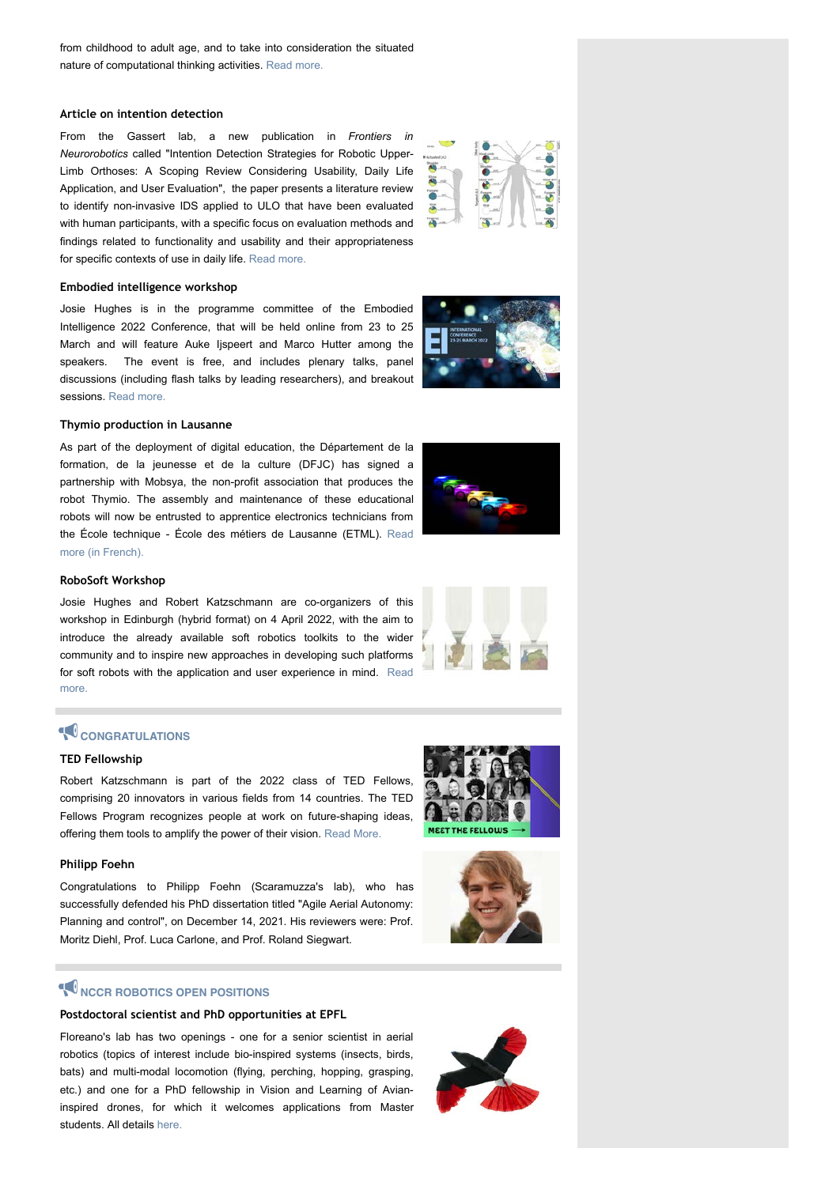from childhood to adult age, and to take into consideration the situated nature of computational thinking activities. [Read more.](https://www.sciencedirect.com/science/article/pii/S2451958821001147?via%3Dihub)

#### **Article on intention detection**

From the Gassert lab, a new publication in *Frontiers in Neurorobotics* called "Intention Detection Strategies for Robotic Upper-Limb Orthoses: A Scoping Review Considering Usability, Daily Life Application, and User Evaluation", the paper presents a literature review to identify non-invasive IDS applied to ULO that have been evaluated with human participants, with a specific focus on evaluation methods and findings related to functionality and usability and their appropriateness for specific contexts of use in daily life. [Read more.](https://www.frontiersin.org/articles/10.3389/fnbot.2022.815693/full)

#### **Embodied intelligence workshop**

Josie Hughes is in the programme committee of the Embodied Intelligence 2022 Conference, that will be held online from 23 to 25 March and will feature Auke Ijspeert and Marco Hutter among the speakers. The event is free, and includes plenary talks, panel discussions (including flash talks by leading researchers), and breakout sessions. [Read more.](https://embodied-intelligence.org/)

#### **Thymio production in Lausanne**

As part of the deployment of digital education, the Département de la formation, de la jeunesse et de la culture (DFJC) has signed a partnership with Mobsya, the non-profit association that produces the robot Thymio. The assembly and maintenance of these educational robots will now be entrusted to apprentice electronics technicians from [the École technique - École des métiers de Lausanne \(ETML\).](https://www.vd.ch/toutes-les-actualites/news/15467i-les-robots-educatifs-des-eleves-vaudois-assembles-par-des-apprenties-et-des-apprentis-du-canton/) Read more (in French).

#### **RoboSoft Workshop**

Josie Hughes and Robert Katzschmann are co-organizers of this workshop in Edinburgh (hybrid format) on 4 April 2022, with the aim to introduce the already available soft robotics toolkits to the wider community and to inspire new approaches in developing such platforms [for soft robots with the application and user experience in mind.](https://sites.google.com/view/softroboticsoftware/home) Read more.

## **CONGRATULATIONS**

#### **TED Fellowship**

Robert Katzschmann is part of the 2022 class of TED Fellows, comprising 20 innovators in various fields from 14 countries. The TED Fellows Program recognizes people at work on future-shaping ideas, offering them tools to amplify the power of their vision. [Read More.](https://blog.ted.com/meet-the-2022-class-of-ted-fellows)

#### **Philipp Foehn**

Congratulations to Philipp Foehn (Scaramuzza's lab), who has successfully defended his PhD dissertation titled "Agile Aerial Autonomy: Planning and control", on December 14, 2021. His reviewers were: Prof. Moritz Diehl, Prof. Luca Carlone, and Prof. Roland Siegwart[.](https://www.ethrat.ch/en/media/releases/appointments-september21)

## **NCCR ROBOTICS OPEN POSITIONS**

#### **Postdoctoral scientist and PhD opportunities at EPFL**

Floreano's lab has two openings - one for a senior scientist in aerial robotics (topics of interest include bio-inspired systems (insects, birds, bats) and multi-modal locomotion (flying, perching, hopping, grasping, etc.) and one for a PhD fellowship in Vision and Learning of Avianinspired drones, for which it welcomes applications from Master students. All details [here.](https://www.epfl.ch/labs/lis/open-positions/)









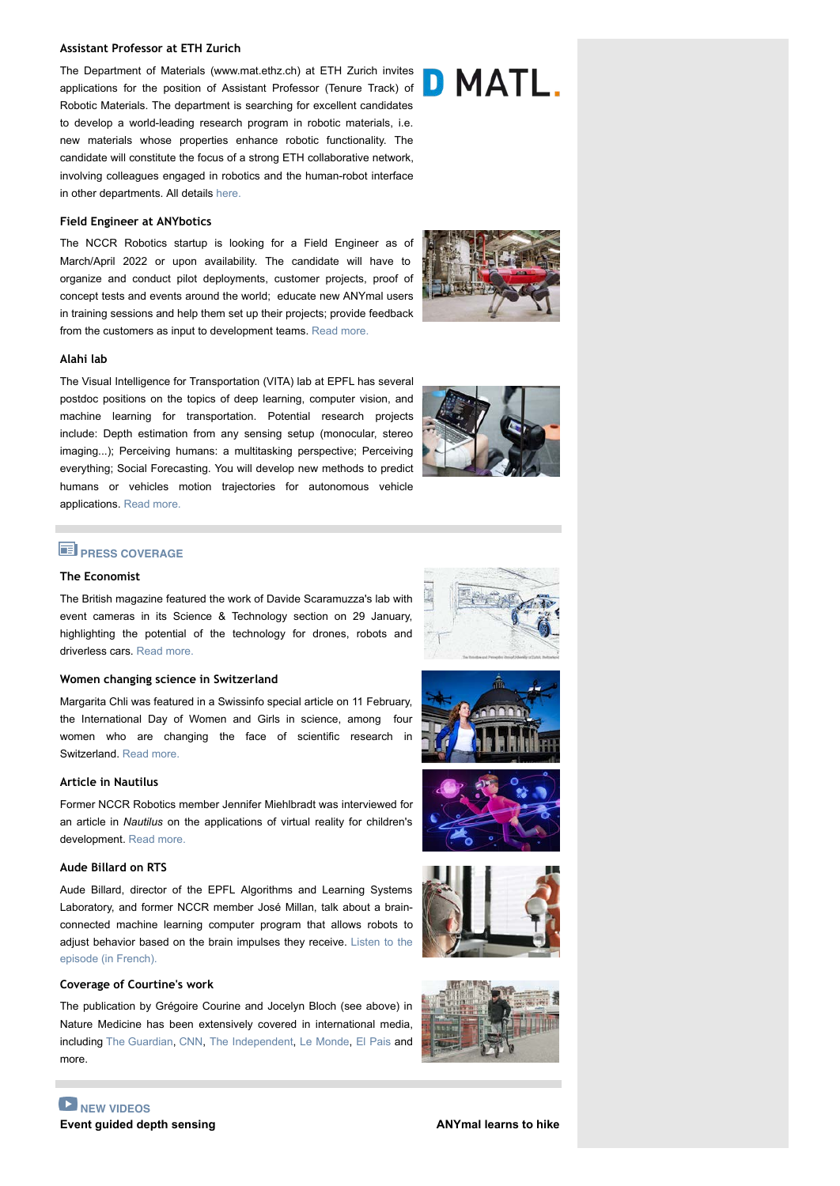#### **Assistant Professor at ETH Zurich**

The Department of Materials (www.mat.ethz.ch) at ETH Zurich invites applications for the position of Assistant Professor (Tenure Track) of Robotic Materials. The department is searching for excellent candidates to develop a world-leading research program in robotic materials, i.e. new materials whose properties enhance robotic functionality. The candidate will constitute the focus of a strong ETH collaborative network, involving colleagues engaged in robotics and the human-robot interface in other departments. All details [here.](https://ethz.ch/en/the-eth-zurich/working-teaching-and-research/faculty-affairs/ausgeschriebene-professuren/ingenieurwissenschaften/assistenzprofessur-tenure-track-materialien-in-der-robotik.html)

#### **Field Engineer at ANYbotics**

The NCCR Robotics startup is looking for a Field Engineer as of March/April 2022 or upon availability. The candidate will have to organize and conduct pilot deployments, customer projects, proof of concept tests and events around the world; educate new ANYmal users in training sessions and help them set up their projects; provide feedback from the customers as input to development teams. [Read more.](https://jobs.lever.co/anybotics/cf8368ce-f824-4fab-b317-f73839d7a795)

#### **Alahi lab**

The Visual Intelligence for Transportation (VITA) lab at EPFL has several postdoc positions on the topics of deep learning, computer vision, and machine learning for transportation. Potential research projects include: Depth estimation from any sensing setup (monocular, stereo imaging...); Perceiving humans: a multitasking perspective; Perceiving everything; Social Forecasting. You will develop new methods to predict humans or vehicles motion trajectories for autonomous vehicle applications. [Read more.](https://recruiting.epfl.ch/Vacancies/2195/Description/2)

## **PRESS COVERAGE**

#### **The Economist**

The British magazine featured the work of Davide Scaramuzza's lab with event cameras in its Science & Technology section on 29 January, highlighting the potential of the technology for drones, robots and driverless cars. [Read more.](https://www.economist.com/science-and-technology/a-new-type-of-camera/21807384)

#### **Women changing science in Switzerland**

Margarita Chli was featured in a Swissinfo special article on 11 February, the International Day of Women and Girls in science, among four women who are changing the face of scientific research in Switzerland. [Read more.](https://www.swissinfo.ch/eng/business/the-women-changing-science-in-switzerland/47332990?utm_campaign=swi-rss&utm_source=multiple&utm_medium=rss&utm_content=o)

#### **Article in Nautilus**

Former NCCR Robotics member Jennifer Miehlbradt was interviewed for an article in *Nautilus* on the applications of virtual reality for children's development[.](https://www.youtube.com/watch?v=VCGKD67752c) [Read more.](https://nautil.us/are-kids-ready-for-virtual-reality-13865/)

#### **Aude Billard on RTS**

Aude Billard, director of the EPFL Algorithms and Learning Systems Laboratory, and former NCCR member José Millan, talk about a brainconnected machine learning computer program that allows robots to [adjust behavior based on the brain impulses they](https://www.rts.ch/audio-podcast/2022/audio/controler-un-robot-par-la-pensee-25801367.html) receive. Listen to the episode (in French).

#### **Coverage of Courtine's work**

The publication by Grégoire Courine and Jocelyn Bloch (see above) in Nature Medicine has been extensively covered in international media, including [The Guardian,](https://www.theguardian.com/science/2022/feb/07/paralysed-man-walks-again-thanks-to-electrodes-in-his-spine) [CNN,](https://edition.cnn.com/videos/health/2022/02/07/spinal-cord-stimulation-study-paralysis-cohen-pkg-vpx.cnn) [The Independent,](https://www.independent.co.uk/tv/news/paralysed-man-walks-swiss-spine-implants-v196c1da5) [Le Monde,](https://avenue.argusdatainsights.ch/Article/AvenuePDFClip?artikelHash=c5f5d6252a514b7a86eabb9a9d73ef98_72BC6F19129F8302BDD9FA6CAFBC594A&artikelDateiId=314711299) [El Pais](https://english.elpais.com/science-tech/2022-02-08/three-paralyzed-patients-walk-again-thanks-to-spinal-cord-implants.html) and more.















## MATI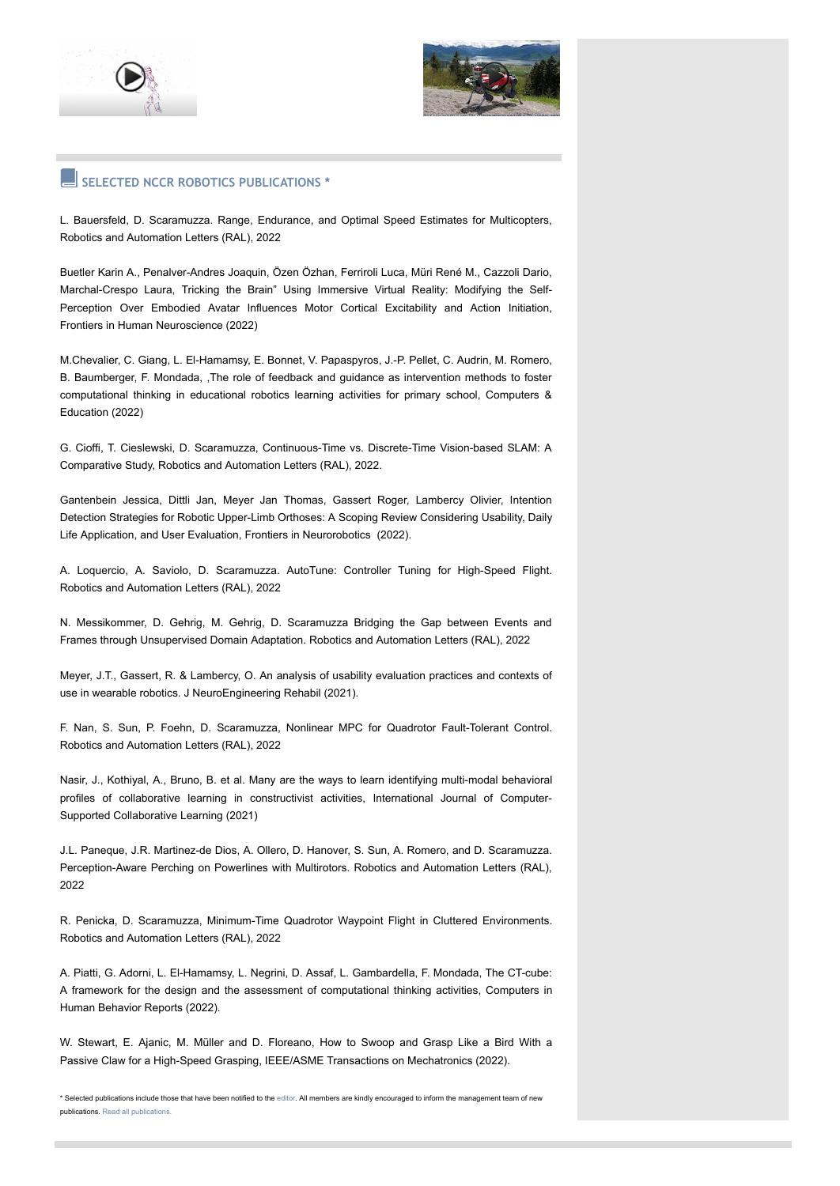



#### **SELECTED NCCR ROBOTICS PUBLICATIONS \***

L. Bauersfeld, D. Scaramuzza. Range, Endurance, and Optimal Speed Estimates for Multicopters, Robotics and Automation Letters (RAL), 2022

Buetler Karin A., Penalver-Andres Joaquin, Özen Özhan, Ferriroli Luca, Müri René M., Cazzoli Dario, Marchal-Crespo Laura, Tricking the Brain" Using Immersive Virtual Reality: Modifying the Self-Perception Over Embodied Avatar Influences Motor Cortical Excitability and Action Initiation, Frontiers in Human Neuroscience (2022)

M.Chevalier, C. Giang, L. El-Hamamsy, E. Bonnet, V. Papaspyros, J.-P. Pellet, C. Audrin, M. Romero, B. Baumberger, F. Mondada, ,The role of feedback and guidance as intervention methods to foster computational thinking in educational robotics learning activities for primary school, Computers & Education (2022)

G. Cioffi, T. Cieslewski, D. Scaramuzza, Continuous-Time vs. Discrete-Time Vision-based SLAM: A Comparative Study, Robotics and Automation Letters (RAL), 2022.

Gantenbein Jessica, Dittli Jan, Meyer Jan Thomas, Gassert Roger, Lambercy Olivier, Intention Detection Strategies for Robotic Upper-Limb Orthoses: A Scoping Review Considering Usability, Daily Life Application, and User Evaluation, Frontiers in Neurorobotics (2022).

A. Loquercio, A. Saviolo, D. Scaramuzza. AutoTune: Controller Tuning for High-Speed Flight. Robotics and Automation Letters (RAL), 2022

N. Messikommer, D. Gehrig, M. Gehrig, D. Scaramuzza Bridging the Gap between Events and Frames through Unsupervised Domain Adaptation. Robotics and Automation Letters (RAL), 2022

Meyer, J.T., Gassert, R. & Lambercy, O. An analysis of usability evaluation practices and contexts of use in wearable robotics. J NeuroEngineering Rehabil (2021).

F. Nan, S. Sun, P. Foehn, D. Scaramuzza, Nonlinear MPC for Quadrotor Fault-Tolerant Control. Robotics and Automation Letters (RAL), 2022

Nasir, J., Kothiyal, A., Bruno, B. et al. Many are the ways to learn identifying multi-modal behavioral profiles of collaborative learning in constructivist activities, International Journal of Computer-Supported Collaborative Learning (2021)

J.L. Paneque, J.R. Martinez-de Dios, A. Ollero, D. Hanover, S. Sun, A. Romero, and D. Scaramuzza. Perception-Aware Perching on Powerlines with Multirotors. Robotics and Automation Letters (RAL), 2022

R. Penicka, D. Scaramuzza, Minimum-Time Quadrotor Waypoint Flight in Cluttered Environments. Robotics and Automation Letters (RAL), 2022

A. Piatti, G. Adorni, L. El-Hamamsy, L. Negrini, D. Assaf, L. Gambardella, F. Mondada, The CT-cube: A framework for the design and the assessment of computational thinking activities, Computers in Human Behavior Reports (2022).

W. Stewart, E. Ajanic, M. Müller and D. Floreano, How to Swoop and Grasp Like a Bird With a Passive Claw for a High-Speed Grasping, IEEE/ASME Transactions on Mechatronics (2022).

\* Selected publications include those that have been notified to the [editor](mailto:nicola.nosengo@epfl.ch). All members are kindly encouraged to inform the management team of new publications. [Read all publications.](https://nccr-robotics.ch/publication/)